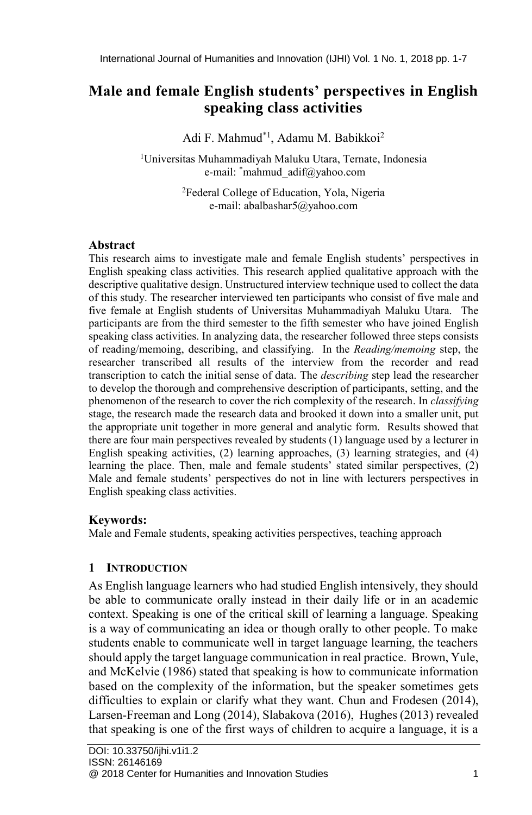# **Male and female English students' perspectives in English speaking class activities**

Adi F. Mahmud\*1, Adamu M. Babikkoi<sup>2</sup>

<sup>1</sup>Universitas Muhammadiyah Maluku Utara, Ternate, Indonesia e-mail: \*mahmud\_adif@yahoo.com

> <sup>2</sup>Federal College of Education, Yola, Nigeria e-mail: abalbashar5@yahoo.com

### **Abstract**

This research aims to investigate male and female English students' perspectives in English speaking class activities. This research applied qualitative approach with the descriptive qualitative design. Unstructured interview technique used to collect the data of this study. The researcher interviewed ten participants who consist of five male and five female at English students of Universitas Muhammadiyah Maluku Utara. The participants are from the third semester to the fifth semester who have joined English speaking class activities. In analyzing data, the researcher followed three steps consists of reading/memoing, describing, and classifying. In the *Reading/memoing* step, the researcher transcribed all results of the interview from the recorder and read transcription to catch the initial sense of data. The *describing* step lead the researcher to develop the thorough and comprehensive description of participants, setting, and the phenomenon of the research to cover the rich complexity of the research. In *classifying* stage, the research made the research data and brooked it down into a smaller unit, put the appropriate unit together in more general and analytic form. Results showed that there are four main perspectives revealed by students (1) language used by a lecturer in English speaking activities, (2) learning approaches, (3) learning strategies, and (4) learning the place. Then, male and female students' stated similar perspectives, (2) Male and female students' perspectives do not in line with lecturers perspectives in English speaking class activities.

#### **Keywords:**

Male and Female students, speaking activities perspectives, teaching approach

### **1 INTRODUCTION**

As English language learners who had studied English intensively, they should be able to communicate orally instead in their daily life or in an academic context. Speaking is one of the critical skill of learning a language. Speaking is a way of communicating an idea or though orally to other people. To make students enable to communicate well in target language learning, the teachers should apply the target language communication in real practice. Brown, Yule, and McKelvie (1986) stated that speaking is how to communicate information based on the complexity of the information, but the speaker sometimes gets difficulties to explain or clarify what they want. Chun and Frodesen (2014), Larsen-Freeman and Long (2014), Slabakova (2016), Hughes (2013) revealed that speaking is one of the first ways of children to acquire a language, it is a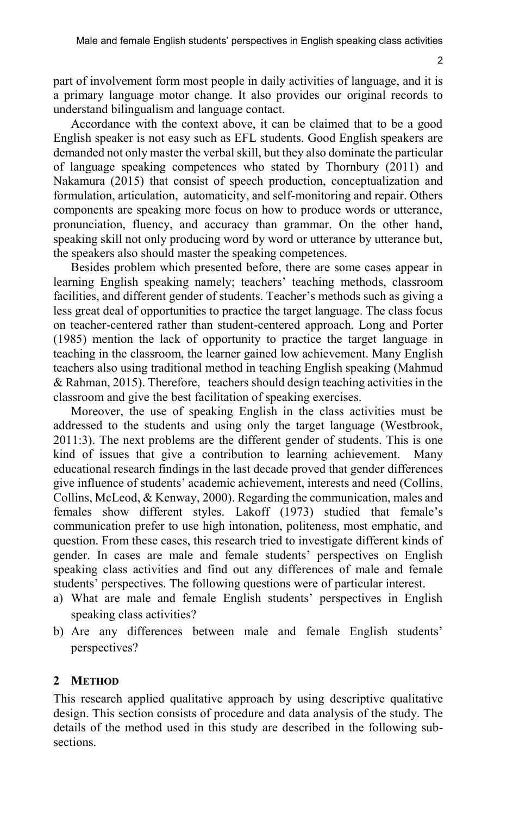part of involvement form most people in daily activities of language, and it is a primary language motor change. It also provides our original records to understand bilingualism and language contact.

Accordance with the context above, it can be claimed that to be a good English speaker is not easy such as EFL students. Good English speakers are demanded not only master the verbal skill, but they also dominate the particular of language speaking competences who stated by Thornbury (2011) and Nakamura (2015) that consist of speech production, conceptualization and formulation, articulation, automaticity, and self-monitoring and repair. Others components are speaking more focus on how to produce words or utterance, pronunciation, fluency, and accuracy than grammar. On the other hand, speaking skill not only producing word by word or utterance by utterance but, the speakers also should master the speaking competences.

Besides problem which presented before, there are some cases appear in learning English speaking namely; teachers' teaching methods, classroom facilities, and different gender of students. Teacher's methods such as giving a less great deal of opportunities to practice the target language. The class focus on teacher-centered rather than student-centered approach. Long and Porter (1985) mention the lack of opportunity to practice the target language in teaching in the classroom, the learner gained low achievement. Many English teachers also using traditional method in teaching English speaking (Mahmud & Rahman, 2015). Therefore, teachers should design teaching activities in the classroom and give the best facilitation of speaking exercises.

Moreover, the use of speaking English in the class activities must be addressed to the students and using only the target language (Westbrook, 2011:3). The next problems are the different gender of students. This is one kind of issues that give a contribution to learning achievement. Many educational research findings in the last decade proved that gender differences give influence of students' academic achievement, interests and need (Collins, Collins, McLeod, & Kenway, 2000). Regarding the communication, males and females show different styles. Lakoff (1973) studied that female's communication prefer to use high intonation, politeness, most emphatic, and question. From these cases, this research tried to investigate different kinds of gender. In cases are male and female students' perspectives on English speaking class activities and find out any differences of male and female students' perspectives. The following questions were of particular interest.

- a) What are male and female English students' perspectives in English speaking class activities?
- b) Are any differences between male and female English students' perspectives?

#### **2 METHOD**

This research applied qualitative approach by using descriptive qualitative design. This section consists of procedure and data analysis of the study. The details of the method used in this study are described in the following subsections.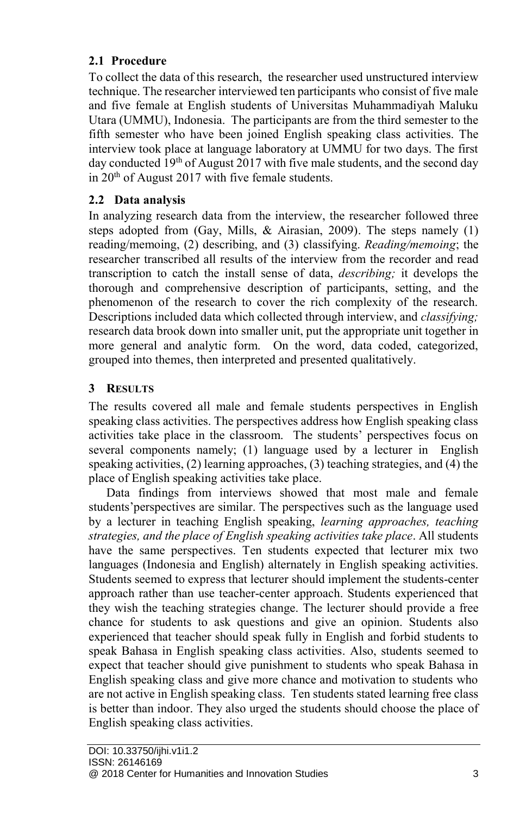# **2.1 Procedure**

To collect the data of this research, the researcher used unstructured interview technique. The researcher interviewed ten participants who consist of five male and five female at English students of Universitas Muhammadiyah Maluku Utara (UMMU), Indonesia. The participants are from the third semester to the fifth semester who have been joined English speaking class activities. The interview took place at language laboratory at UMMU for two days. The first day conducted  $19<sup>th</sup>$  of August 2017 with five male students, and the second day in 20<sup>th</sup> of August 2017 with five female students.

## **2.2 Data analysis**

In analyzing research data from the interview, the researcher followed three steps adopted from (Gay, Mills,  $\&$  Airasian, 2009). The steps namely (1) reading/memoing, (2) describing, and (3) classifying. *Reading/memoing*; the researcher transcribed all results of the interview from the recorder and read transcription to catch the install sense of data, *describing;* it develops the thorough and comprehensive description of participants, setting, and the phenomenon of the research to cover the rich complexity of the research. Descriptions included data which collected through interview, and *classifying;* research data brook down into smaller unit, put the appropriate unit together in more general and analytic form. On the word, data coded, categorized, grouped into themes, then interpreted and presented qualitatively.

## **3 RESULTS**

The results covered all male and female students perspectives in English speaking class activities. The perspectives address how English speaking class activities take place in the classroom. The students' perspectives focus on several components namely; (1) language used by a lecturer in English speaking activities, (2) learning approaches, (3) teaching strategies, and (4) the place of English speaking activities take place.

Data findings from interviews showed that most male and female students'perspectives are similar. The perspectives such as the language used by a lecturer in teaching English speaking, *learning approaches, teaching strategies, and the place of English speaking activities take place*. All students have the same perspectives. Ten students expected that lecturer mix two languages (Indonesia and English) alternately in English speaking activities. Students seemed to express that lecturer should implement the students-center approach rather than use teacher-center approach. Students experienced that they wish the teaching strategies change. The lecturer should provide a free chance for students to ask questions and give an opinion. Students also experienced that teacher should speak fully in English and forbid students to speak Bahasa in English speaking class activities. Also, students seemed to expect that teacher should give punishment to students who speak Bahasa in English speaking class and give more chance and motivation to students who are not active in English speaking class. Ten students stated learning free class is better than indoor. They also urged the students should choose the place of English speaking class activities.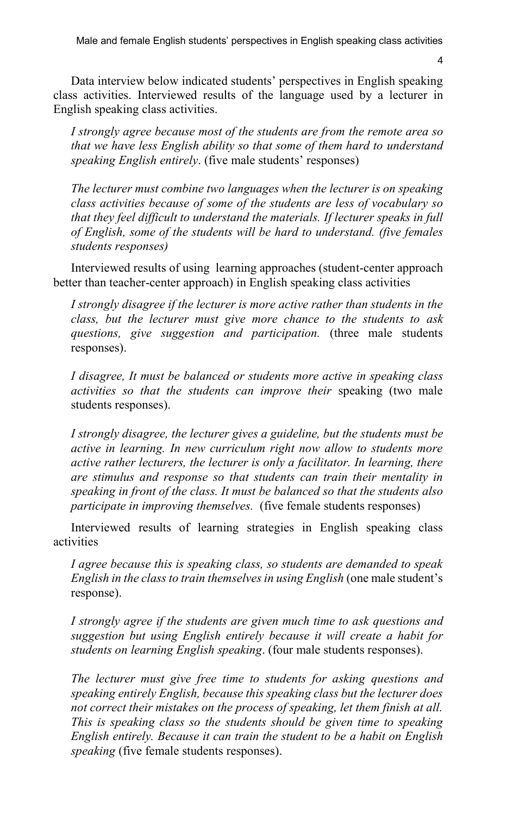Male and female English students' perspectives in English speaking class activities

4

Data interview below indicated students' perspectives in English speaking class activities. Interviewed results of the language used by a lecturer in English speaking class activities.

*I strongly agree because most of the students are from the remote area so that we have less English ability so that some of them hard to understand speaking English entirely*. (five male students' responses)

*The lecturer must combine two languages when the lecturer is on speaking class activities because of some of the students are less of vocabulary so that they feel difficult to understand the materials. If lecturer speaks in full of English, some of the students will be hard to understand. (five females students responses)*

Interviewed results of using learning approaches (student-center approach better than teacher-center approach) in English speaking class activities

*I strongly disagree if the lecturer is more active rather than students in the class, but the lecturer must give more chance to the students to ask questions, give suggestion and participation.* (three male students responses).

*I disagree, It must be balanced or students more active in speaking class activities so that the students can improve their* speaking (two male students responses).

*I strongly disagree, the lecturer gives a guideline, but the students must be active in learning. In new curriculum right now allow to students more active rather lecturers, the lecturer is only a facilitator. In learning, there are stimulus and response so that students can train their mentality in speaking in front of the class. It must be balanced so that the students also participate in improving themselves.* (five female students responses)

Interviewed results of learning strategies in English speaking class activities

*I agree because this is speaking class, so students are demanded to speak English in the class to train themselvesin using English* (one male student's response).

*I strongly agree if the students are given much time to ask questions and suggestion but using English entirely because it will create a habit for students on learning English speaking*. (four male students responses).

*The lecturer must give free time to students for asking questions and speaking entirely English, because this speaking class but the lecturer does not correct their mistakes on the process of speaking, let them finish at all. This is speaking class so the students should be given time to speaking English entirely. Because it can train the student to be a habit on English speaking* (five female students responses).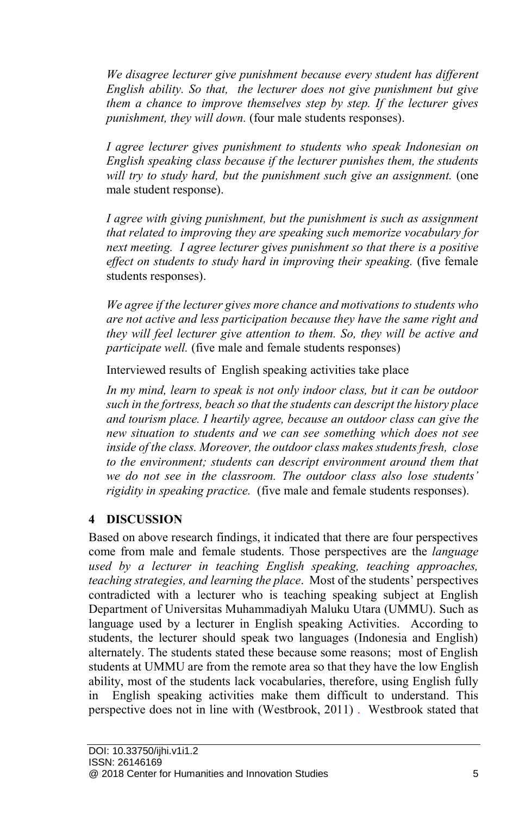*We disagree lecturer give punishment because every student has different English ability. So that, the lecturer does not give punishment but give them a chance to improve themselves step by step. If the lecturer gives punishment, they will down.* (four male students responses).

*I agree lecturer gives punishment to students who speak Indonesian on English speaking class because if the lecturer punishes them, the students will try to study hard, but the punishment such give an assignment.* (one male student response).

*I agree with giving punishment, but the punishment is such as assignment that related to improving they are speaking such memorize vocabulary for next meeting. I agree lecturer gives punishment so that there is a positive effect on students to study hard in improving their speaking.* (five female students responses).

*We agree if the lecturer gives more chance and motivations to students who are not active and less participation because they have the same right and they will feel lecturer give attention to them. So, they will be active and participate well.* (five male and female students responses)

Interviewed results of English speaking activities take place

*In my mind, learn to speak is not only indoor class, but it can be outdoor such in the fortress, beach so that the students can descript the history place and tourism place. I heartily agree, because an outdoor class can give the new situation to students and we can see something which does not see inside of the class. Moreover, the outdoor class makes students fresh, close to the environment; students can descript environment around them that we do not see in the classroom. The outdoor class also lose students' rigidity in speaking practice.* (five male and female students responses).

# **4 DISCUSSION**

Based on above research findings, it indicated that there are four perspectives come from male and female students. Those perspectives are the *language used by a lecturer in teaching English speaking, teaching approaches, teaching strategies, and learning the place*. Most of the students' perspectives contradicted with a lecturer who is teaching speaking subject at English Department of Universitas Muhammadiyah Maluku Utara (UMMU). Such as language used by a lecturer in English speaking Activities. According to students, the lecturer should speak two languages (Indonesia and English) alternately. The students stated these because some reasons; most of English students at UMMU are from the remote area so that they have the low English ability, most of the students lack vocabularies, therefore, using English fully in English speaking activities make them difficult to understand. This perspective does not in line with (Westbrook, 2011) . Westbrook stated that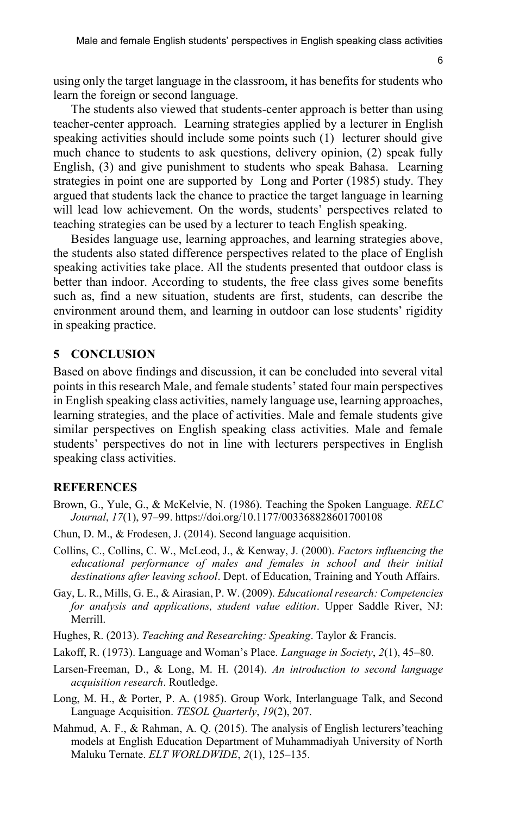6

using only the target language in the classroom, it has benefits for students who learn the foreign or second language.

The students also viewed that students-center approach is better than using teacher-center approach. Learning strategies applied by a lecturer in English speaking activities should include some points such (1) lecturer should give much chance to students to ask questions, delivery opinion, (2) speak fully English, (3) and give punishment to students who speak Bahasa. Learning strategies in point one are supported by Long and Porter (1985) study. They argued that students lack the chance to practice the target language in learning will lead low achievement. On the words, students' perspectives related to teaching strategies can be used by a lecturer to teach English speaking.

Besides language use, learning approaches, and learning strategies above, the students also stated difference perspectives related to the place of English speaking activities take place. All the students presented that outdoor class is better than indoor. According to students, the free class gives some benefits such as, find a new situation, students are first, students, can describe the environment around them, and learning in outdoor can lose students' rigidity in speaking practice.

#### **5 CONCLUSION**

Based on above findings and discussion, it can be concluded into several vital points in this research Male, and female students' stated four main perspectives in English speaking class activities, namely language use, learning approaches, learning strategies, and the place of activities. Male and female students give similar perspectives on English speaking class activities. Male and female students' perspectives do not in line with lecturers perspectives in English speaking class activities.

#### **REFERENCES**

- Brown, G., Yule, G., & McKelvie, N. (1986). Teaching the Spoken Language. *RELC Journal*, *17*(1), 97–99. https://doi.org/10.1177/003368828601700108
- Chun, D. M., & Frodesen, J. (2014). Second language acquisition.
- Collins, C., Collins, C. W., McLeod, J., & Kenway, J. (2000). *Factors influencing the educational performance of males and females in school and their initial destinations after leaving school*. Dept. of Education, Training and Youth Affairs.
- Gay, L. R., Mills, G. E., & Airasian, P. W. (2009). *Educational research: Competencies for analysis and applications, student value edition*. Upper Saddle River, NJ: Merrill.
- Hughes, R. (2013). *Teaching and Researching: Speaking*. Taylor & Francis.
- Lakoff, R. (1973). Language and Woman's Place. *Language in Society*, *2*(1), 45–80.
- Larsen-Freeman, D., & Long, M. H. (2014). *An introduction to second language acquisition research*. Routledge.
- Long, M. H., & Porter, P. A. (1985). Group Work, Interlanguage Talk, and Second Language Acquisition. *TESOL Quarterly*, *19*(2), 207.
- Mahmud, A. F., & Rahman, A. Q. (2015). The analysis of English lecturers'teaching models at English Education Department of Muhammadiyah University of North Maluku Ternate. *ELT WORLDWIDE*, *2*(1), 125–135.